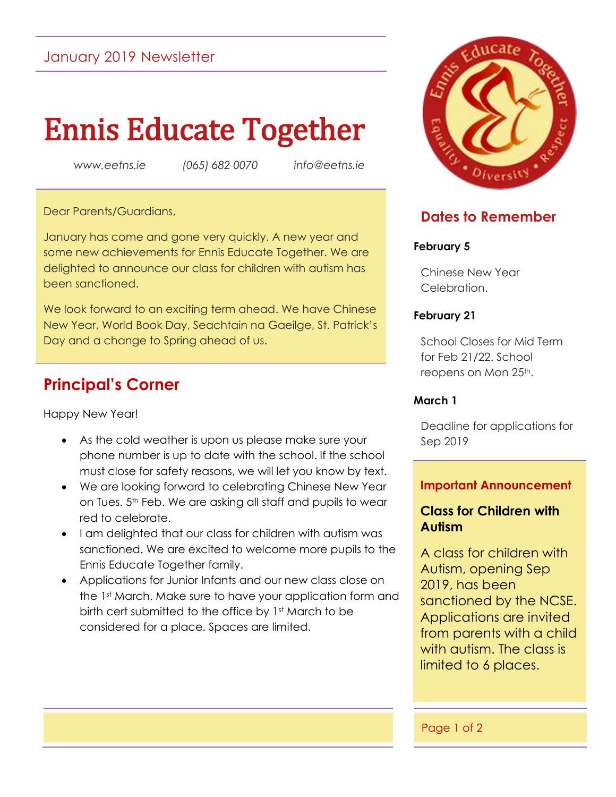# January 2019 Newsletter

# Ennis Educate Together

*www.eetns.ie (065) 682 0070 info@eetns.ie*

#### Dear Parents/Guardians,

January has come and gone very quickly. A new year and some new achievements for Ennis Educate Together. We are delighted to announce our class for children with autism has been sanctioned.

We look forward to an exciting term ahead. We have Chinese New Year, World Book Day, Seachtain na Gaeilge, St. Patrick's Day and a change to Spring ahead of us.

# **Principal's Corner**

Happy New Year!

- As the cold weather is upon us please make sure your phone number is up to date with the school. If the school must close for safety reasons, we will let you know by text.
- We are looking forward to celebrating Chinese New Year on Tues. 5<sup>th</sup> Feb. We are asking all staff and pupils to wear red to celebrate.
- I am delighted that our class for children with autism was sanctioned. We are excited to welcome more pupils to the Ennis Educate Together family.
- Applications for Junior Infants and our new class close on the 1st March. Make sure to have your application form and birth cert submitted to the office by 1st March to be considered for a place. Spaces are limited.



## **Dates to Remember**

#### **February 5**

Chinese New Year Celebration.

#### **February 21**

School Closes for Mid Term for Feb 21/22. School reopens on Mon 25<sup>th</sup>.

#### **March 1**

Deadline for applications for Sep 2019

#### **Important Announcement**

#### **Class for Children with Autism**

A class for children with Autism, opening Sep 2019, has been sanctioned by the NCSE. Applications are invited from parents with a child with autism. The class is limited to 6 places.

#### Page 1 of 2